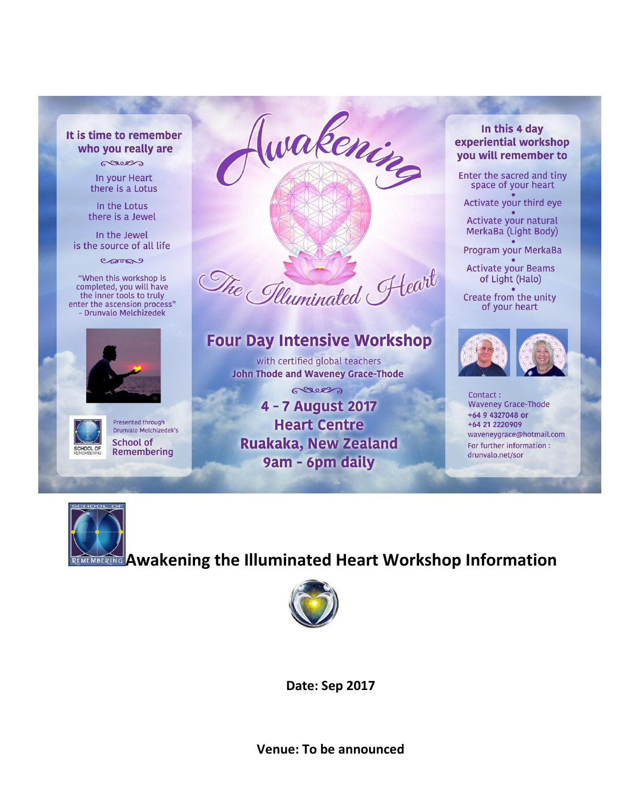#### It is time to remember who you really are

sees In your Heart there is a Lotus

In the Lotus there is a Jewel

In the Jewel is the source of all life

carne

"When this workshop is completed, you will have the inner tools to truly enter the ascension process" - Drunvalo Melchizedek





Presented through Drunyalo Melchizedek's **School of** Remembering



# **Four Day Intensive Workshop**

with certified global teachers **John Thode and Waveney Grace-Thode** 

Geove 4 - 7 August 2017 **Heart Centre Ruakaka, New Zealand** 9am - 6pm daily

#### In this 4 day experiential workshop you will remember to

Enter the sacred and tiny space of your heart

Activate your third eye

Activate your natural MerkaBa (Light Body)

Program your MerkaBa

**Activate your Beams** of Light (Halo)

Create from the unity of your heart



Contact: **Waveney Grace-Thode** +64 9 4327048 or +64 21 2220909 waveneygrace@hotmail.com For further information : drunvalo.net/sor



# **WINBERING** Awakening the Illuminated Heart Workshop Information



Date: Sep 2017

Venue: To be announced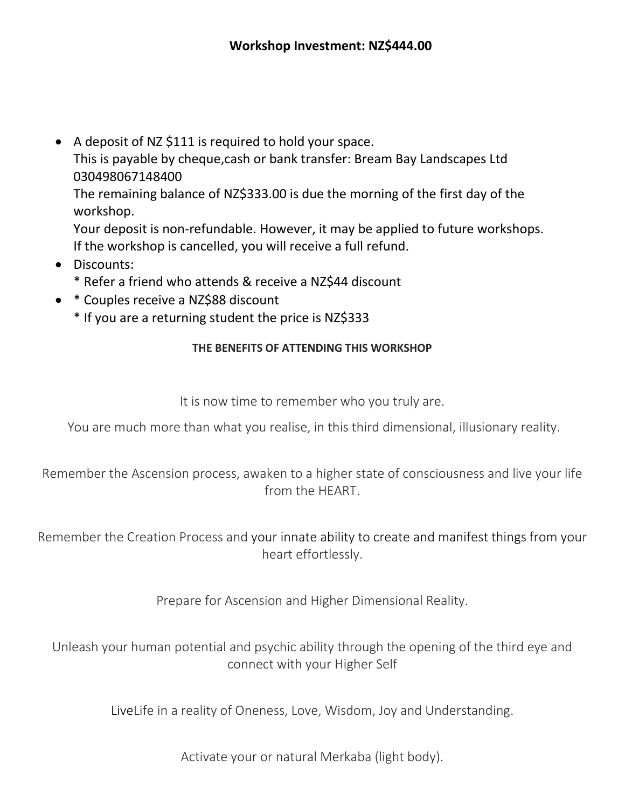A deposit of NZ \$111 is required to hold your space. This is payable by cheque,cash or bank transfer: Bream Bay Landscapes Ltd 030498067148400 The remaining balance of NZ\$333.00 is due the morning of the first day of the workshop.

Your deposit is non-refundable. However, it may be applied to future workshops. If the workshop is cancelled, you will receive a full refund.

- Discounts:
	- \* Refer a friend who attends & receive a NZ\$44 discount
- \* Couples receive a NZ\$88 discount
	- \* If you are a returning student the price is NZ\$333

#### **THE BENEFITS OF ATTENDING THIS WORKSHOP**

It is now time to remember who you truly are.

You are much more than what you realise, in this third dimensional, illusionary reality.

Remember the Ascension process, awaken to a higher state of consciousness and live your life from the HEART.

Remember the Creation Process and your innate ability to create and manifest things from your heart effortlessly.

Prepare for Ascension and Higher Dimensional Reality.

Unleash your human potential and psychic ability through the opening of the third eye and connect with your Higher Self

LiveLife in a reality of Oneness, Love, Wisdom, Joy and Understanding.

Activate your or natural Merkaba (light body).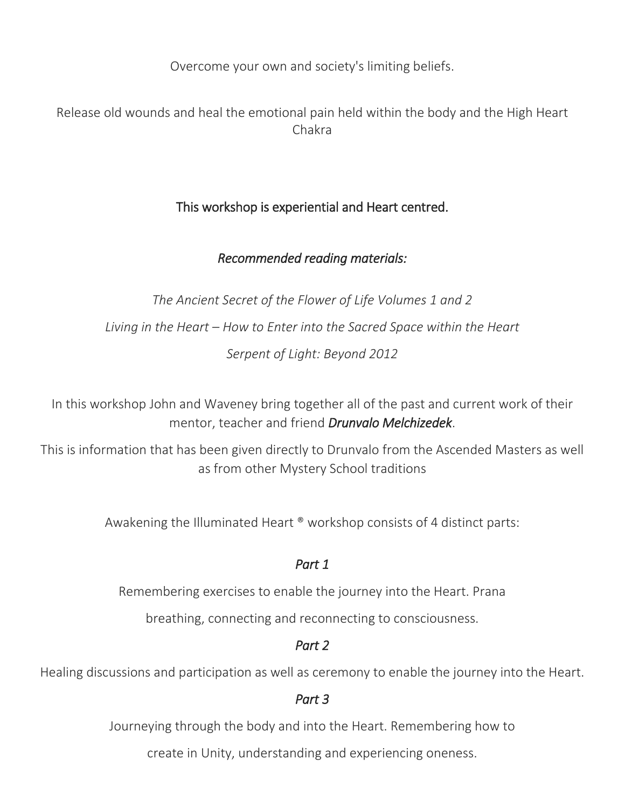Overcome your own and society's limiting beliefs.

# Release old wounds and heal the emotional pain held within the body and the High Heart Chakra

# This workshop is experiential and Heart centred.

## *Recommended reading materials:*

*The Ancient Secret of the Flower of Life Volumes 1 and 2 Living in the Heart – How to Enter into the Sacred Space within the Heart Serpent of Light: Beyond 2012*

In this workshop John and Waveney bring together all of the past and current work of their mentor, teacher and friend *Drunvalo Melchizedek*.

This is information that has been given directly to Drunvalo from the Ascended Masters as well as from other Mystery School traditions

Awakening the Illuminated Heart ® workshop consists of 4 distinct parts:

### *Part 1*

Remembering exercises to enable the journey into the Heart. Prana

breathing, connecting and reconnecting to consciousness.

## *Part 2*

Healing discussions and participation as well as ceremony to enable the journey into the Heart.

### *Part 3*

Journeying through the body and into the Heart. Remembering how to

create in Unity, understanding and experiencing oneness.